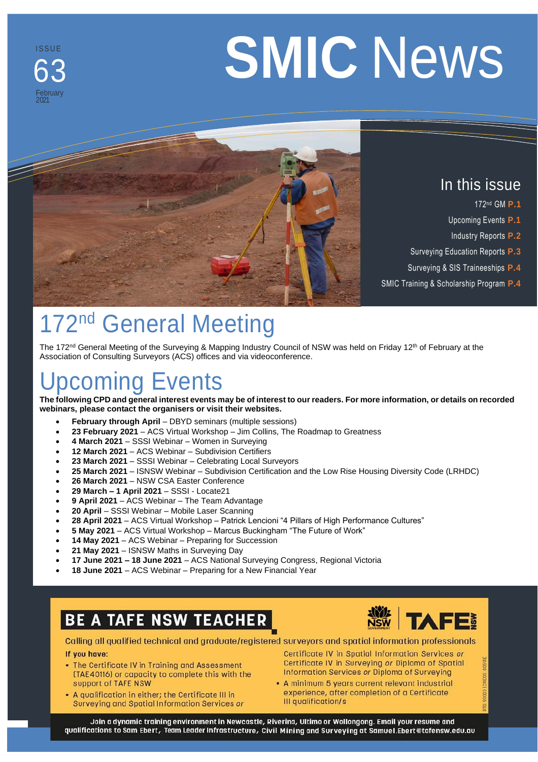#### ISS U E 63 February 2021

# **SMIC** News



### In this issue

- 172 nd GM **P.1**
- Upcoming Events **P.1**
- Industry Reports **P.2**
- Surveying Education Reports **P.3**
- Surveying & SIS Traineeships **P.4**
- SMIC Training & Scholarship Program **P.4**

### 172<sup>nd</sup> General Meeting

The 172<sup>nd</sup> General Meeting of the Surveying & Mapping Industry Council of NSW was held on Friday 12<sup>th</sup> of February at the Association of Consulting Surveyors (ACS) offices and via videoconference.

# pcoming Events

**The following CPD and general interest events may be of interest to our readers. For more information, or details on recorded webinars, please contact the organisers or visit their websites.**

- **February through April** DBYD seminars (multiple sessions)
- **23 February 2021**  ACS Virtual Workshop Jim Collins, The Roadmap to Greatness
- **4 March 2021**  SSSI Webinar Women in Surveying
- **12 March 2021** ACS Webinar Subdivision Certifiers
- **23 March 2021**  SSSI Webinar Celebrating Local Surveyors
- **25 March 2021**  ISNSW Webinar Subdivision Certification and the Low Rise Housing Diversity Code (LRHDC)
- **26 March 2021** NSW CSA Easter Conference
- **29 March – 1 April 2021** SSSI Locate21
- **9 April 2021** ACS Webinar The Team Advantage
- **20 April**  SSSI Webinar Mobile Laser Scanning
- **28 April 2021**  ACS Virtual Workshop Patrick Lencioni "4 Pillars of High Performance Cultures"
- **5 May 2021**  ACS Virtual Workshop Marcus Buckingham "The Future of Work"
- **14 May 2021**  ACS Webinar Preparing for Succession
- **21 May 2021**  ISNSW Maths in Surveying Day
- **17 June 2021 – 18 June 2021** ACS National Surveying Congress, Regional Victoria
- **18 June 2021** ACS Webinar Preparing for a New Financial Year

### **BE A TAFE NSW TEACHER**



Calling all qualified technical and graduate/registered surveyors and spatial information professionals

#### If you have:

- The Certificate IV in Training and Assessment (TAE40116) or capacity to complete this with the support of TAFE NSW
- . A qualification in either; the Certificate III in Surveying and Spatial Information Services or

Certificate IV in Surveying or Diploma of Spatial Information Services or Diploma of Surveying - A minimum 5 years current relevant industrial experience, after completion of a Certificate

Certificate IV in Spatial Information Services or

PAGE 1

Join a dynamic training environment in Newcastle, Riverina, Ultimo or Wollongong. Email your resume and qualifications to Sam Ebert, Team Leader Infrastructure, Civil Mining and Surveying at Samuel.Ebert@tafensw.edu.au

III qualification/s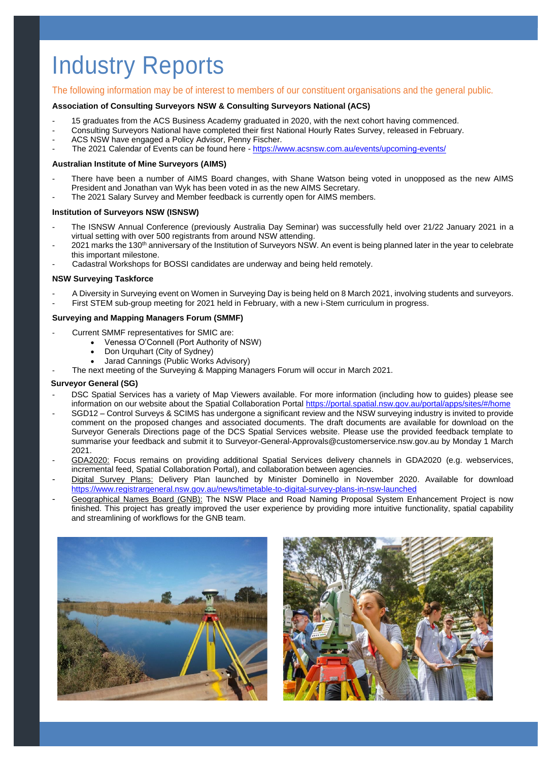## Industry Reports

#### The following information may be of interest to members of our constituent organisations and the general public.

#### **Association of Consulting Surveyors NSW & Consulting Surveyors National (ACS)**

- 15 graduates from the ACS Business Academy graduated in 2020, with the next cohort having commenced.
- Consulting Surveyors National have completed their first National Hourly Rates Survey, released in February.
- ACS NSW have engaged a Policy Advisor, Penny Fischer.
- The 2021 Calendar of Events can be found here <https://www.acsnsw.com.au/events/upcoming-events/>

#### **Australian Institute of Mine Surveyors (AIMS)**

- There have been a number of AIMS Board changes, with Shane Watson being voted in unopposed as the new AIMS President and Jonathan van Wyk has been voted in as the new AIMS Secretary.
- The 2021 Salary Survey and Member feedback is currently open for AIMS members.

#### **Institution of Surveyors NSW (ISNSW)**

- The ISNSW Annual Conference (previously Australia Day Seminar) was successfully held over 21/22 January 2021 in a virtual setting with over 500 registrants from around NSW attending.
- 2021 marks the 130<sup>th</sup> anniversary of the Institution of Surveyors NSW. An event is being planned later in the year to celebrate this important milestone.
- Cadastral Workshops for BOSSI candidates are underway and being held remotely.

#### **NSW Surveying Taskforce**

A Diversity in Surveying event on Women in Surveying Day is being held on 8 March 2021, involving students and surveyors. First STEM sub-group meeting for 2021 held in February, with a new i-Stem curriculum in progress.

#### **Surveying and Mapping Managers Forum (SMMF)**

- Current SMMF representatives for SMIC are:
	- Venessa O'Connell (Port Authority of NSW)
		- Don Urquhart (City of Sydney)
		- Jarad Cannings (Public Works Advisory)
- The next meeting of the Surveying & Mapping Managers Forum will occur in March 2021.

#### **Surveyor General (SG)**

- DSC Spatial Services has a variety of Map Viewers available. For more information (including how to guides) please see information on our website about the Spatial Collaboration Porta[l https://portal.spatial.nsw.gov.au/portal/apps/sites/#/home](https://portal.spatial.nsw.gov.au/portal/apps/sites/#/home)
- SGD12 Control Surveys & SCIMS has undergone a significant review and the NSW surveying industry is invited to provide comment on the proposed changes and associated documents. The draft documents are available for download on the Surveyor Generals Directions page of the DCS Spatial Services website. Please use the provided feedback template to summarise your feedback and submit it to Surveyor-General-Approvals@customerservice.nsw.gov.au by Monday 1 March 2021.
- GDA2020: Focus remains on providing additional Spatial Services delivery channels in GDA2020 (e.g. webservices, incremental feed, Spatial Collaboration Portal), and collaboration between agencies.
- Digital Survey Plans: Delivery Plan launched by Minister Dominello in November 2020. Available for download <https://www.registrargeneral.nsw.gov.au/news/timetable-to-digital-survey-plans-in-nsw-launched>
- Geographical Names Board (GNB): The NSW Place and Road Naming Proposal System Enhancement Project is now finished. This project has greatly improved the user experience by providing more intuitive functionality, spatial capability and streamlining of workflows for the GNB team.



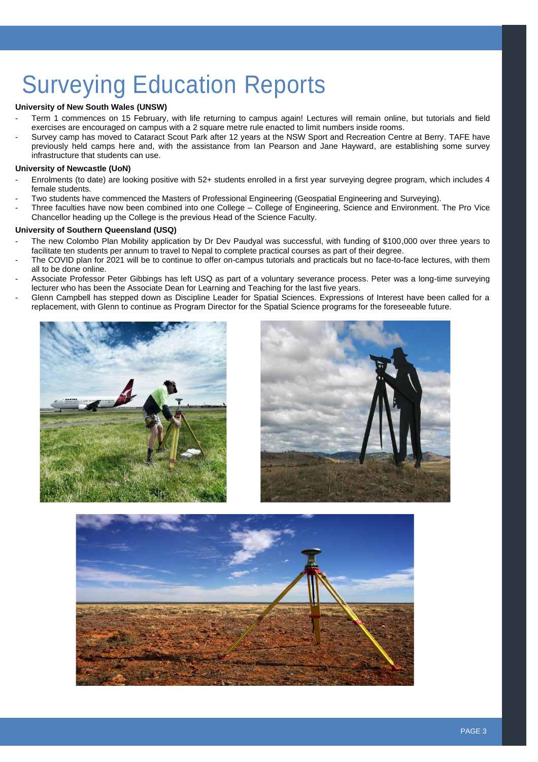# Surveying Education Reports

#### **University of New South Wales (UNSW)**

- Term 1 commences on 15 February, with life returning to campus again! Lectures will remain online, but tutorials and field exercises are encouraged on campus with a 2 square metre rule enacted to limit numbers inside rooms.
- Survey camp has moved to Cataract Scout Park after 12 years at the NSW Sport and Recreation Centre at Berry. TAFE have previously held camps here and, with the assistance from Ian Pearson and Jane Hayward, are establishing some survey infrastructure that students can use.

#### **University of Newcastle (UoN)**

- Enrolments (to date) are looking positive with 52+ students enrolled in a first year surveying degree program, which includes 4 female students.
- Two students have commenced the Masters of Professional Engineering (Geospatial Engineering and Surveying).
- Three faculties have now been combined into one College College of Engineering, Science and Environment. The Pro Vice Chancellor heading up the College is the previous Head of the Science Faculty.

#### **University of Southern Queensland (USQ)**

- The new Colombo Plan Mobility application by Dr Dev Paudyal was successful, with funding of \$100,000 over three years to facilitate ten students per annum to travel to Nepal to complete practical courses as part of their degree.
- The COVID plan for 2021 will be to continue to offer on-campus tutorials and practicals but no face-to-face lectures, with them all to be done online.
- Associate Professor Peter Gibbings has left USQ as part of a voluntary severance process. Peter was a long-time surveying lecturer who has been the Associate Dean for Learning and Teaching for the last five years.
- Glenn Campbell has stepped down as Discipline Leader for Spatial Sciences. Expressions of Interest have been called for a replacement, with Glenn to continue as Program Director for the Spatial Science programs for the foreseeable future.